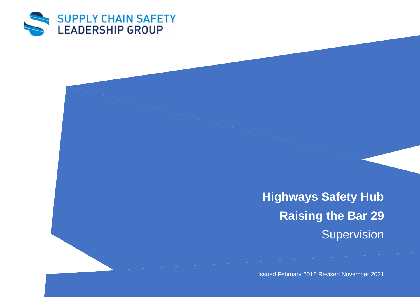

**Highways Safety Hub Raising the Bar 29** Supervision

Issued February 2016 Revised November 2021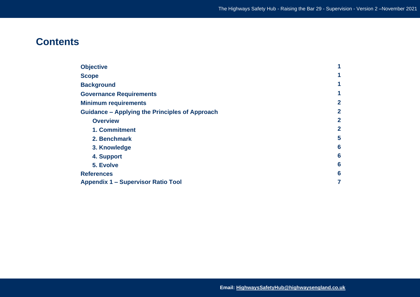# **Contents**

| <b>Objective</b>                                      |                |
|-------------------------------------------------------|----------------|
| <b>Scope</b>                                          | 1              |
| <b>Background</b>                                     | 1              |
| <b>Governance Requirements</b>                        | 1              |
| <b>Minimum requirements</b>                           | $\overline{2}$ |
| <b>Guidance - Applying the Principles of Approach</b> | $\overline{2}$ |
| <b>Overview</b>                                       | $\mathbf{2}$   |
| 1. Commitment                                         | $\overline{2}$ |
| 2. Benchmark                                          | 5              |
| 3. Knowledge                                          | 6              |
| 4. Support                                            | 6              |
| 5. Evolve                                             | 6              |
| <b>References</b>                                     | 6              |
| <b>Appendix 1 - Supervisor Ratio Tool</b>             | 7              |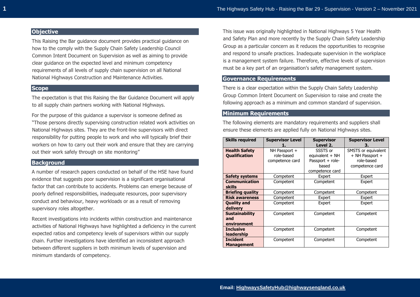# **Objective**

This Raising the Bar guidance document provides practical guidance on how to the comply with the Supply Chain Safety Leadership Council Common Intent Document on Supervision as well as aiming to provide clear guidance on the expected level and minimum competency requirements of all levels of supply chain supervision on all National National Highways Construction and Maintenance Activities.

## **Scope**

The expectation is that this Raising the Bar Guidance Document will apply to all supply chain partners working with National Highways.

For the purpose of this guidance a supervisor is someone defined as "Those persons directly supervising construction related work activities on National Highways sites. They are the front-line supervisors with direct responsibility for putting people to work and who will typically brief their workers on how to carry out their work and ensure that they are carrying out their work safely through on site monitoring"

# **Background**

A number of research papers conducted on behalf of the HSE have found evidence that suggests poor supervision is a significant organisational factor that can contribute to accidents. Problems can emerge because of poorly defined responsibilities, inadequate resources, poor supervisory conduct and behaviour, heavy workloads or as a result of removing supervisory roles altogether.

Recent investigations into incidents within construction and maintenance activities of National Highways have highlighted a deficiency in the current expected ratios and competency levels of supervisors within our supply chain. Further investigations have identified an inconsistent approach between different suppliers in both minimum levels of supervision and minimum standards of competency.

This issue was originally highlighted in National Highways 5 Year Health and Safety Plan and more recently by the Supply Chain Safety Leadership Group as a particular concern as it reduces the opportunities to recognise and respond to unsafe practices. Inadequate supervision in the workplace is a management system failure. Therefore, effective levels of supervision must be a key part of an organisation's safety management system.

# **Governance Requirements**

There is a clear expectation within the Supply Chain Safety Leadership Group Common Intent Document on Supervision to raise and create the following approach as a minimum and common standard of supervision.

# **Minimum Requirements**

The following elements are mandatory requirements and suppliers shall ensure these elements are applied fully on National Highways sites.

| <b>Skills required</b>                                                                                        | <b>Supervisor Level</b>                        | <b>Supervisor</b><br>Level 2.                                               | <b>Supervisor Level</b><br>З.                                           |  |
|---------------------------------------------------------------------------------------------------------------|------------------------------------------------|-----------------------------------------------------------------------------|-------------------------------------------------------------------------|--|
| <b>Health Safety</b><br><b>Qualification</b>                                                                  | NH Passport +<br>role-based<br>competence card | SSSTS or<br>equivalent + NH<br>Passport + role-<br>based<br>competence card | SMSTS or equivalent<br>+ NH Passport +<br>role-based<br>competence card |  |
| <b>Safety systems</b><br><b>Communication</b><br>skills                                                       | Competent<br>Competent                         | Expert<br>Competent                                                         | Expert<br>Expert                                                        |  |
| <b>Briefing quality</b><br>Competent<br><b>Risk awareness</b><br>Competent<br><b>Quality and</b><br>Competent |                                                | Competent<br>Expert<br>Expert                                               | Competent<br>Expert<br>Expert                                           |  |
| delivery<br><b>Sustainability</b><br>and<br>environment                                                       | Competent                                      | Competent                                                                   | Competent                                                               |  |
| <b>Inclusive</b><br>leadership                                                                                | Competent                                      | Competent                                                                   | Competent                                                               |  |
| <b>Incident</b><br><b>Management</b>                                                                          | Competent                                      | Competent                                                                   | Competent                                                               |  |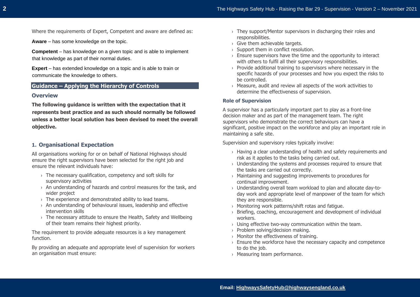Where the requirements of Expert, Competent and aware are defined as:

**Aware** – has some knowledge on the topic.

**Competent** – has knowledge on a given topic and is able to implement that knowledge as part of their normal duties.

**Expert** – has extended knowledge on a topic and is able to train or communicate the knowledge to others.

# **Guidance – Applying the Hierarchy of Controls**

#### **Overview**

**The following guidance is written with the expectation that it represents best practice and as such should normally be followed unless a better local solution has been devised to meet the overall objective.** 

## **1. Organisational Expectation**

All organisations working for or on behalf of National Highways should ensure the right supervisors have been selected for the right job and ensure the relevant individuals have:

- › The necessary qualification, competency and soft skills for supervisory activities
- $\rightarrow$  An understanding of hazards and control measures for the task, and wider project
- › The experience and demonstrated ability to lead teams.
- $\rightarrow$  An understanding of behavioural issues, leadership and effective intervention skills
- › The necessary attitude to ensure the Health, Safety and Wellbeing of their team remains their highest priority.

The requirement to provide adequate resources is a key management function.

By providing an adequate and appropriate level of supervision for workers an organisation must ensure:

- › They support/Mentor supervisors in discharging their roles and responsibilities.
- $\rightarrow$  Give them achievable targets.
- › Support them in conflict resolution.
- $\rightarrow$  Ensure supervisors have the time and the opportunity to interact with others to fulfil all their supervisory responsibilities.
- $\rightarrow$  Provide additional training to supervisors where necessary in the specific hazards of your processes and how you expect the risks to be controlled.
- › Measure, audit and review all aspects of the work activities to determine the effectiveness of supervision.

## **Role of Supervision**

A supervisor has a particularly important part to play as a front-line decision maker and as part of the management team. The right supervisors who demonstrate the correct behaviours can have a significant, positive impact on the workforce and play an important role in maintaining a safe site.

Supervision and supervisory roles typically involve:

- › Having a clear understanding of health and safety requirements and risk as it applies to the tasks being carried out.
- › Understanding the systems and processes required to ensure that the tasks are carried out correctly.
- › Maintaining and suggesting improvements to procedures for continual improvement.
- $\rightarrow$  Understanding overall team workload to plan and allocate day-today work and appropriate level of manpower of the team for which they are responsible.
- › Monitoring work patterns/shift rotas and fatigue.
- › Briefing, coaching, encouragement and development of individual workers.
- $\rightarrow$  Using effective two-way communication within the team.
- › Problem solving/decision making.
- › Monitor the effectiveness of training.
- $\rightarrow$  Ensure the workforce have the necessary capacity and competence to do the job.
- › Measuring team performance.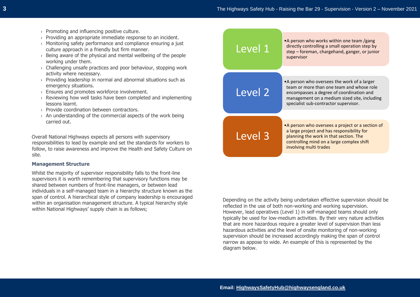- › Promoting and influencing positive culture.
- › Providing an appropriate immediate response to an incident.
- › Monitoring safety performance and compliance ensuring a just culture approach in a friendly but firm manner.
- $\rightarrow$  Being aware of the physical and mental wellbeing of the people working under them.
- $\rightarrow$  Challenging unsafe practices and poor behaviour, stopping work activity where necessary.
- › Providing leadership in normal and abnormal situations such as emergency situations.
- › Ensures and promotes workforce involvement.
- $\rightarrow$  Reviewing how well tasks have been completed and implementing lessons learnt.
- › Provide coordination between contractors.
- $\rightarrow$  An understanding of the commercial aspects of the work being carried out.

Overall National Highways expects all persons with supervisory responsibilities to lead by example and set the standards for workers to follow, to raise awareness and improve the Health and Safety Culture on site.

#### **Management Structure**

Whilst the majority of supervisor responsibility falls to the front-line supervisors it is worth remembering that supervisory functions may be shared between numbers of front-line managers, or between lead individuals in a self-managed team in a hierarchy structure known as the span of control. A hierarchical style of company leadership is encouraged within an organisation management structure. A typical hierarchy style within National Highways' supply chain is as follows;



Depending on the activity being undertaken effective supervision should be reflected in the use of both non-working and working supervision. However, lead operatives (Level 1) in self-managed teams should only typically be used for low-medium activities. By their very nature activities that are more hazardous require a greater level of supervision than less hazardous activities and the level of onsite monitoring of non-working supervision should be increased accordingly making the span of control narrow as appose to wide. An example of this is represented by the diagram below.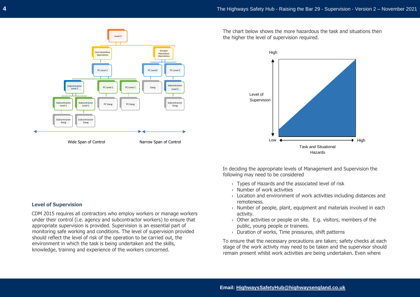

**Level of Supervision**

CDM 2015 requires all contractors who employ workers or manage workers under their control (i.e. agency and subcontractor workers) to ensure that appropriate supervision is provided. Supervision is an essential part of monitoring safe working and conditions. The level of supervision provided should reflect the level of risk of the operation to be carried out, the environment in which the task is being undertaken and the skills, knowledge, training and experience of the workers concerned.

The chart below shows the more hazardous the task and situations then the higher the level of supervision required.



In deciding the appropriate levels of Management and Supervision the following may need to be considered

- › Types of Hazards and the associated level of risk
- › Number of work activities
- $\rightarrow$  Location and environment of work activities including distances and remoteness.
- $\rightarrow$  Number of people, plant, equipment and materials involved in each activity.
- › Other activities or people on site. E.g. visitors, members of the public, young people or trainees.
- › Duration of works, Time pressures, shift patterns

To ensure that the necessary precautions are taken; safety checks at each stage of the work activity may need to be taken and the supervisor should remain present whilst work activities are being undertaken. Even where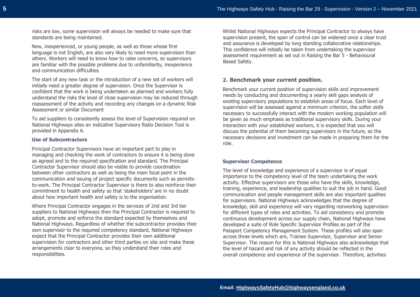risks are low, some supervision will always be needed to make sure that standards are being maintained.

New, inexperienced, or young people, as well as those whose first language is not English, are also very likely to need more supervision than others. Workers will need to know how to raise concerns, so supervisors are familiar with the possible problems due to unfamiliarity, inexperience and communication difficulties

The start of any new task or the introduction of a new set of workers will initially need a greater degree of supervision. Once the Supervisor is confident that the work is being undertaken as planned and workers fully understand the risks the level of close supervision may be reduced through reassessment of the activity and recording any changes on a dynamic Risk Assessment or similar Document

To aid suppliers to consistently assess the level of Supervision required on National Highways sites an indicative Supervisory Ratio Decision Tool is provided in Appendix A.

#### **Use of Subcontractors**

Principal Contractor Supervisors have an important part to play in managing and checking the work of contractors to ensure it is being done as agreed and to the required specification and standard. The Principal Contractor Supervisor should also be visible to provide coordination between other contractors as well as being the main focal point in the communication and issuing of project specific documents such as permitsto-work. The Principal Contractor Supervisor is there to also reinforce their commitment to health and safety so that 'stakeholders' are in no doubt about how important health and safety is to the organisation.

Where Principal Contractor engages in the services of 2nd and 3rd tier suppliers to National Highways then the Principal Contractor is required to adopt, promote and enforce the standard expected by themselves and National Highways. Regardless of whether the subcontractor provides their own supervisor to the required competency standard, National Highways expect that the Principal Contractor provides their own additional supervision for contractors and other third parties on site and make these arrangements clear to everyone, so they understand their roles and responsibilities.

Whilst National Highways expects the Principal Contractor to always have supervision present, the span of control can be widened once a clear trust and assurance is developed by long standing collaborative relationships. This confidence will initially be taken from undertaking the supervisor assessment requirement as set out in Raising the Bar 5 - Behavioural Based Safety.

### **2. Benchmark your current position.**

Benchmark your current position of supervision skills and improvement needs by conducting and documenting a yearly skill gaps analysis of existing supervisory populations to establish areas of focus. Each level of supervision will be assessed against a minimum criterion, the softer skills necessary to successfully interact with the modern working population will be given as much emphasis as traditional supervisory skills. During your interaction with your established workers, it is expected that you will discuss the potential of them becoming supervisors in the future, so the necessary decisions and investment can be made in preparing them for the role.

#### **Supervisor Competence**

The level of knowledge and experience of a supervisor is of equal importance to the competency level of the team undertaking the work activity. Effective supervisors are those who have the skills, knowledge, training, experience, and leadership qualities to suit the job in hand. Good communication and people management skills are also important qualities for supervisors. National Highways acknowledges that the degree of knowledge, skill and experience will vary regarding nonworking supervision for different types of roles and activities. To aid consistency and promote continuous development across our supply chain, National Highways have developed a suite of Role Specific Supervisor Profiles as part of the Passport Competency Management System. These profiles will also span across three levels which are, Trainee Supervisor, Supervisor and Senior Supervisor. The reason for this is National Highways also acknowledge that the level of hazard and risk of any activity should be reflected in the overall competence and experience of the supervisor. Therefore, activities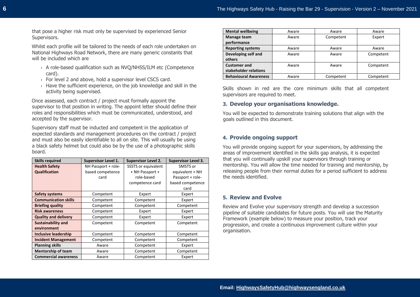that pose a higher risk must only be supervised by experienced Senior Supervisors.

Whilst each profile will be tailored to the needs of each role undertaken on National Highways Road Network, there are many generic constants that will be included which are

- › A role-based qualification such as NVQ/NHSS/ILM etc (Competence card).
- › For level 2 and above, hold a supervisor level CSCS card.
- › Have the sufficient experience, on the job knowledge and skill in the activity being supervised.

Once assessed, each contract / project must formally appoint the supervisor to that position in writing. The appoint letter should define their roles and responsibilities which must be communicated, understood, and accepted by the supervisor.

Supervisory staff must be inducted and competent in the application of expected standards and management procedures on the contract / project and must also be easily identifiable to all on site. This will usually be using a black safety helmet but could also be by the use of a photographic skills board.

| <b>Skills required</b>                 | <b>Supervisor Level 1.</b><br><b>Supervisor Level 2.</b> |                            | <b>Supervisor Level 3.</b> |  |
|----------------------------------------|----------------------------------------------------------|----------------------------|----------------------------|--|
| <b>Health Safety</b>                   | NH Passport + role-                                      | <b>SSSTS or equivalent</b> | SMSTS or                   |  |
| <b>Qualification</b>                   | based competence                                         | + NH Passport +            | equivalent + NH            |  |
|                                        | card                                                     | role-based                 | Passport + role-           |  |
|                                        |                                                          | competence card            | based competence           |  |
|                                        |                                                          |                            | card                       |  |
| Safety systems                         | Competent                                                | Expert                     | Expert                     |  |
| <b>Communication skills</b>            | Competent                                                | Competent                  | Expert                     |  |
| <b>Briefing quality</b>                | Competent                                                | Competent                  | Competent                  |  |
| <b>Risk awareness</b>                  | Competent                                                | Expert                     | Expert                     |  |
| <b>Quality and delivery</b>            | Competent                                                | Expert                     | Expert                     |  |
| <b>Sustainability and</b><br>Competent |                                                          | Competent                  | Competent                  |  |
| environment                            |                                                          |                            |                            |  |
| <b>Inclusive leadership</b>            | Competent                                                | Competent                  | Competent                  |  |
| <b>Incident Management</b>             | Competent                                                | Competent                  | Competent                  |  |
| <b>Planning skills</b>                 | Aware                                                    | Competent                  | Expert                     |  |
| <b>Mentorship of team</b>              | Aware                                                    |                            | Competent                  |  |
| <b>Commercial awareness</b>            | Aware                                                    | Competent                  | Expert                     |  |

| <b>Mental wellbeing</b>      | Aware | Aware     | Aware     |
|------------------------------|-------|-----------|-----------|
| <b>Manage team</b>           | Aware | Competent | Expert    |
| performance                  |       |           |           |
| <b>Reporting systems</b>     | Aware | Aware     | Aware     |
| Developing self and          | Aware | Aware     | Competent |
| others                       |       |           |           |
| <b>Customer and</b>          | Aware | Aware     | Competent |
| stakeholder relations        |       |           |           |
| <b>Behavioural Awareness</b> | Aware | Competent | Competent |

Skills shown in red are the core minimum skills that all competent supervisors are required to meet.

# **3. Develop your organisations knowledge.**

You will be expected to demonstrate training solutions that align with the goals outlined in this document.

# **4. Provide ongoing support**

You will provide ongoing support for your supervisors, by addressing the areas of improvement identified in the skills gap analysis, it is expected that you will continually upskill your supervisors through training or mentorship. You will allow the time needed for training and mentorship, by releasing people from their normal duties for a period sufficient to address the needs identified.

## **5. Review and Evolve**

Review and Evolve your supervisory strength and develop a succession pipeline of suitable candidates for future posts. You will use the Maturity Framework (example below) to measure your position, track your progression, and create a continuous improvement culture within your organisation.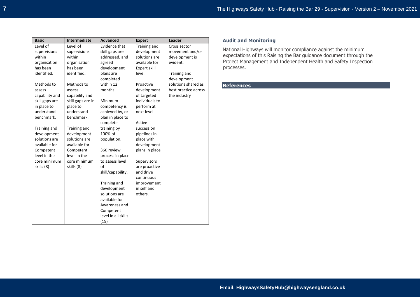| <b>Basic</b>   | <b>Intermediate</b> | <b>Advanced</b>              | <b>Expert</b>              | Leader               |
|----------------|---------------------|------------------------------|----------------------------|----------------------|
| Level of       | Level of            | Evidence that                | Training and               | Cross sector         |
| supervisions   | supervisions        | skill gaps are               | development                | movement and/or      |
| within         | within              | addressed, and               | solutions are              | development is       |
| organisation   | organisation        | agreed                       | available for              | evident.             |
| has been       | has been            | development                  | Expert skill               |                      |
| identified.    | identified.         | plans are                    | level.                     | Training and         |
|                |                     | completed                    |                            | development          |
| Methods to     | Methods to          | within 12                    | Proactive                  | solutions shared as  |
| assess         | assess              | months                       | development                | best practice across |
| capability and | capability and      |                              | of targeted                | the industry         |
| skill gaps are | skill gaps are in   | Minimum                      | individuals to             |                      |
| in place to    | place to            | competency is                | perform at                 |                      |
| understand     | understand          | achieved by, or              | next level.                |                      |
| benchmark.     | benchmark.          | plan in place to             |                            |                      |
|                |                     | complete                     | Active                     |                      |
| Training and   | Training and        | training by                  | succession                 |                      |
| development    | development         | 100% of                      | pipelines in               |                      |
| solutions are  | solutions are       | population.                  | place with                 |                      |
| available for  | available for       |                              | development                |                      |
| Competent      | Competent           | 360 review                   | plans in place             |                      |
| level in the   | level in the        | process in place             |                            |                      |
| core minimum   | core minimum        | to assess level              | Supervisors                |                      |
| skills (8)     | skills (8)          | of                           | are proactive              |                      |
|                |                     | skill/capability.            | and drive                  |                      |
|                |                     |                              | continuous                 |                      |
|                |                     | Training and                 | improvement<br>in self and |                      |
|                |                     | development<br>solutions are | others.                    |                      |
|                |                     | available for                |                            |                      |
|                |                     | Awareness and                |                            |                      |
|                |                     | Competent                    |                            |                      |
|                |                     | level in all skills          |                            |                      |
|                |                     | (15)                         |                            |                      |
|                |                     |                              |                            |                      |

## **Audit and Monitoring**

National Highways will monitor compliance against the minimum expectations of this Raising the Bar guidance document through the Project Management and Independent Health and Safety Inspection processes.

# **References**